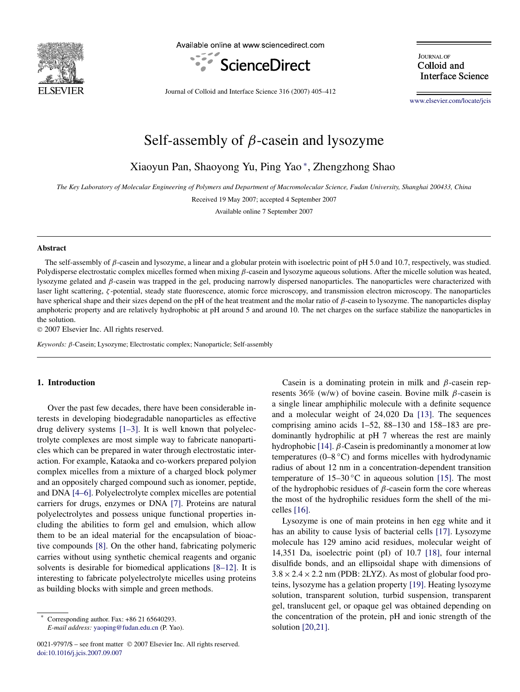

Available online at www.sciencedirect.com



**IOURNAL OF** Colloid and **Interface Science** 

Journal of Colloid and Interface Science 316 (2007) 405–412

[www.elsevier.com/locate/jcis](http://www.elsevier.com/locate/jcis)

# Self-assembly of *β*-casein and lysozyme

Xiaoyun Pan, Shaoyong Yu, Ping Yao <sup>∗</sup> , Zhengzhong Shao

*The Key Laboratory of Molecular Engineering of Polymers and Department of Macromolecular Science, Fudan University, Shanghai 200433, China*

Received 19 May 2007; accepted 4 September 2007

Available online 7 September 2007

#### **Abstract**

The self-assembly of *β*-casein and lysozyme, a linear and a globular protein with isoelectric point of pH 5.0 and 10.7, respectively, was studied. Polydisperse electrostatic complex micelles formed when mixing *β*-casein and lysozyme aqueous solutions. After the micelle solution was heated, lysozyme gelated and *β*-casein was trapped in the gel, producing narrowly dispersed nanoparticles. The nanoparticles were characterized with laser light scattering, *ζ* -potential, steady state fluorescence, atomic force microscopy, and transmission electron microscopy. The nanoparticles have spherical shape and their sizes depend on the pH of the heat treatment and the molar ratio of *β*-casein to lysozyme. The nanoparticles display amphoteric property and are relatively hydrophobic at pH around 5 and around 10. The net charges on the surface stabilize the nanoparticles in the solution.

© 2007 Elsevier Inc. All rights reserved.

*Keywords: β*-Casein; Lysozyme; Electrostatic complex; Nanoparticle; Self-assembly

# **1. Introduction**

Over the past few decades, there have been considerable interests in developing biodegradable nanoparticles as effective drug delivery systems [\[1–3\].](#page-6-0) It is well known that polyelectrolyte complexes are most simple way to fabricate nanoparticles which can be prepared in water through electrostatic interaction. For example, Kataoka and co-workers prepared polyion complex micelles from a mixture of a charged block polymer and an oppositely charged compound such as ionomer, peptide, and DNA [\[4–6\].](#page-6-0) Polyelectrolyte complex micelles are potential carriers for drugs, enzymes or DNA [\[7\].](#page-6-0) Proteins are natural polyelectrolytes and possess unique functional properties including the abilities to form gel and emulsion, which allow them to be an ideal material for the encapsulation of bioactive compounds [\[8\].](#page-6-0) On the other hand, fabricating polymeric carries without using synthetic chemical reagents and organic solvents is desirable for biomedical applications [\[8–12\].](#page-6-0) It is interesting to fabricate polyelectrolyte micelles using proteins as building blocks with simple and green methods.

Casein is a dominating protein in milk and *β*-casein represents 36% (w/w) of bovine casein. Bovine milk *β*-casein is a single linear amphiphilic molecule with a definite sequence and a molecular weight of 24*,*020 Da [\[13\].](#page-6-0) The sequences comprising amino acids 1–52, 88–130 and 158–183 are predominantly hydrophilic at pH 7 whereas the rest are mainly hydrophobic [\[14\].](#page-6-0) *β*-Casein is predominantly a monomer at low temperatures  $(0-8 °C)$  and forms micelles with hydrodynamic radius of about 12 nm in a concentration-dependent transition temperature of  $15-30$  °C in aqueous solution [\[15\].](#page-6-0) The most of the hydrophobic residues of *β*-casein form the core whereas the most of the hydrophilic residues form the shell of the micelles [\[16\].](#page-6-0)

Lysozyme is one of main proteins in hen egg white and it has an ability to cause lysis of bacterial cells [\[17\].](#page-6-0) Lysozyme molecule has 129 amino acid residues, molecular weight of 14,351 Da, isoelectric point (pI) of 10.7 [\[18\],](#page-6-0) four internal disulfide bonds, and an ellipsoidal shape with dimensions of  $3.8 \times 2.4 \times 2.2$  nm (PDB: 2LYZ). As most of globular food proteins, lysozyme has a gelation property [\[19\].](#page-6-0) Heating lysozyme solution, transparent solution, turbid suspension, transparent gel, translucent gel, or opaque gel was obtained depending on the concentration of the protein, pH and ionic strength of the solution [\[20,21\].](#page-6-0)

Corresponding author. Fax: +86 21 65640293. *E-mail address:* [yaoping@fudan.edu.cn](mailto:yaoping@fudan.edu.cn) (P. Yao).

<sup>0021-9797/\$ –</sup> see front matter © 2007 Elsevier Inc. All rights reserved. [doi:10.1016/j.jcis.2007.09.007](http://dx.doi.org/10.1016/j.jcis.2007.09.007)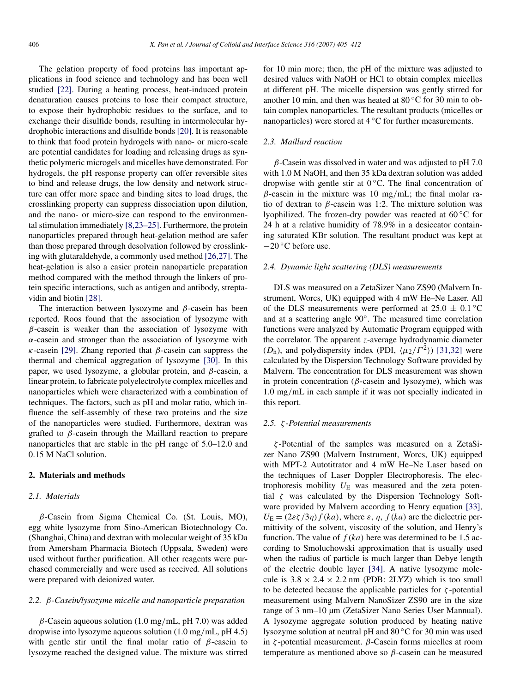The gelation property of food proteins has important applications in food science and technology and has been well studied [\[22\].](#page-6-0) During a heating process, heat-induced protein denaturation causes proteins to lose their compact structure, to expose their hydrophobic residues to the surface, and to exchange their disulfide bonds, resulting in intermolecular hydrophobic interactions and disulfide bonds [\[20\].](#page-6-0) It is reasonable to think that food protein hydrogels with nano- or micro-scale are potential candidates for loading and releasing drugs as synthetic polymeric microgels and micelles have demonstrated. For hydrogels, the pH response property can offer reversible sites to bind and release drugs, the low density and network structure can offer more space and binding sites to load drugs, the crosslinking property can suppress dissociation upon dilution, and the nano- or micro-size can respond to the environmental stimulation immediately [\[8,23–25\].](#page-6-0) Furthermore, the protein nanoparticles prepared through heat-gelation method are safer than those prepared through desolvation followed by crosslinking with glutaraldehyde, a commonly used method [\[26,27\].](#page-6-0) The heat-gelation is also a easier protein nanoparticle preparation method compared with the method through the linkers of protein specific interactions, such as antigen and antibody, streptavidin and biotin [\[28\].](#page-6-0)

The interaction between lysozyme and *β*-casein has been reported. Roos found that the association of lysozyme with *β*-casein is weaker than the association of lysozyme with *α*-casein and stronger than the association of lysozyme with *κ*-casein [\[29\].](#page-6-0) Zhang reported that *β*-casein can suppress the thermal and chemical aggregation of lysozyme [\[30\].](#page-6-0) In this paper, we used lysozyme, a globular protein, and *β*-casein, a linear protein, to fabricate polyelectrolyte complex micelles and nanoparticles which were characterized with a combination of techniques. The factors, such as pH and molar ratio, which influence the self-assembly of these two proteins and the size of the nanoparticles were studied. Furthermore, dextran was grafted to *β*-casein through the Maillard reaction to prepare nanoparticles that are stable in the pH range of 5.0–12.0 and 0.15 M NaCl solution.

# **2. Materials and methods**

# *2.1. Materials*

*β*-Casein from Sigma Chemical Co. (St. Louis, MO), egg white lysozyme from Sino-American Biotechnology Co. (Shanghai, China) and dextran with molecular weight of 35 kDa from Amersham Pharmacia Biotech (Uppsala, Sweden) were used without further purification. All other reagents were purchased commercially and were used as received. All solutions were prepared with deionized water.

#### *2.2. β-Casein/lysozyme micelle and nanoparticle preparation*

*β*-Casein aqueous solution (1.0 mg*/*mL, pH 7.0) was added dropwise into lysozyme aqueous solution (1.0 mg*/*mL, pH 4.5) with gentle stir until the final molar ratio of *β*-casein to lysozyme reached the designed value. The mixture was stirred for 10 min more; then, the pH of the mixture was adjusted to desired values with NaOH or HCl to obtain complex micelles at different pH. The micelle dispersion was gently stirred for another 10 min, and then was heated at 80 ◦C for 30 min to obtain complex nanoparticles. The resultant products (micelles or nanoparticles) were stored at 4 ◦C for further measurements.

# *2.3. Maillard reaction*

*β*-Casein was dissolved in water and was adjusted to pH 7.0 with 1.0 M NaOH, and then 35 kDa dextran solution was added dropwise with gentle stir at  $0^{\circ}$ C. The final concentration of *β*-casein in the mixture was 10 mg*/*mL; the final molar ratio of dextran to  $\beta$ -casein was 1:2. The mixture solution was lyophilized. The frozen-dry powder was reacted at 60 ◦C for 24 h at a relative humidity of 78.9% in a desiccator containing saturated KBr solution. The resultant product was kept at −20 ◦C before use.

#### *2.4. Dynamic light scattering (DLS) measurements*

DLS was measured on a ZetaSizer Nano ZS90 (Malvern Instrument, Worcs, UK) equipped with 4 mW He–Ne Laser. All of the DLS measurements were performed at  $25.0 \pm 0.1$  °C and at a scattering angle 90◦. The measured time correlation functions were analyzed by Automatic Program equipped with the correlator. The apparent *z*-average hydrodynamic diameter ( $D_h$ ), and polydispersity index (PDI,  $(\mu_2/\Gamma^2)$ ) [\[31,32\]](#page-7-0) were calculated by the Dispersion Technology Software provided by Malvern. The concentration for DLS measurement was shown in protein concentration (*β*-casein and lysozyme), which was 1.0 mg*/*mL in each sample if it was not specially indicated in this report.

## *2.5. ζ -Potential measurements*

*ζ* -Potential of the samples was measured on a ZetaSizer Nano ZS90 (Malvern Instrument, Worcs, UK) equipped with MPT-2 Autotitrator and 4 mW He–Ne Laser based on the techniques of Laser Doppler Electrophoresis. The electrophoresis mobility  $U_E$  was measured and the zeta potential *ζ* was calculated by the Dispersion Technology Software provided by Malvern according to Henry equation [\[33\],](#page-7-0)  $U_{\rm E} = (2\varepsilon \zeta/3\eta) f(ka)$ , where  $\varepsilon$ ,  $\eta$ ,  $f(ka)$  are the dielectric permittivity of the solvent, viscosity of the solution, and Henry's function. The value of  $f(ka)$  here was determined to be 1.5 according to Smoluchowski approximation that is usually used when the radius of particle is much larger than Debye length of the electric double layer [\[34\].](#page-7-0) A native lysozyme molecule is  $3.8 \times 2.4 \times 2.2$  nm (PDB: 2LYZ) which is too small to be detected because the applicable particles for *ζ* -potential measurement using Malvern NanoSizer ZS90 are in the size range of 3 nm–10 µm (ZetaSizer Nano Series User Mannual). A lysozyme aggregate solution produced by heating native lysozyme solution at neutral pH and 80 ◦C for 30 min was used in *ζ* -potential measurement. *β*-Casein forms micelles at room temperature as mentioned above so *β*-casein can be measured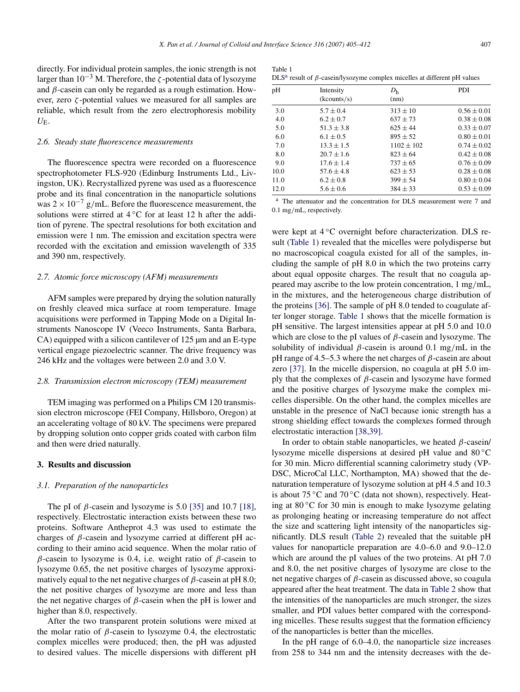directly. For individual protein samples, the ionic strength is not larger than 10−<sup>3</sup> M. Therefore, the *ζ* -potential data of lysozyme and *β*-casein can only be regarded as a rough estimation. However, zero *ζ* -potential values we measured for all samples are reliable, which result from the zero electrophoresis mobility  $U_{\rm E}$ .

## *2.6. Steady state fluorescence measurements*

The fluorescence spectra were recorded on a fluorescence spectrophotometer FLS-920 (Edinburg Instruments Ltd., Livingston, UK). Recrystallized pyrene was used as a fluorescence probe and its final concentration in the nanoparticle solutions was 2 <sup>×</sup> <sup>10</sup>−<sup>7</sup> <sup>g</sup>*/*mL. Before the fluorescence measurement, the solutions were stirred at 4 ℃ for at least 12 h after the addition of pyrene. The spectral resolutions for both excitation and emission were 1 nm. The emission and excitation spectra were recorded with the excitation and emission wavelength of 335 and 390 nm, respectively.

#### *2.7. Atomic force microscopy (AFM) measurements*

AFM samples were prepared by drying the solution naturally on freshly cleaved mica surface at room temperature. Image acquisitions were performed in Tapping Mode on a Digital Instruments Nanoscope IV (Veeco Instruments, Santa Barbara, CA) equipped with a silicon cantilever of 125  $\mu$ m and an E-type vertical engage piezoelectric scanner. The drive frequency was 246 kHz and the voltages were between 2.0 and 3.0 V.

## *2.8. Transmission electron microscopy (TEM) measurement*

TEM imaging was performed on a Philips CM 120 transmission electron microscope (FEI Company, Hillsboro, Oregon) at an accelerating voltage of 80 kV. The specimens were prepared by dropping solution onto copper grids coated with carbon film and then were dried naturally.

## **3. Results and discussion**

### *3.1. Preparation of the nanoparticles*

The pI of  $\beta$ -casein and lysozyme is 5.0 [\[35\]](#page-7-0) and 10.7 [\[18\],](#page-6-0) respectively. Electrostatic interaction exists between these two proteins. Software Antheprot 4.3 was used to estimate the charges of *β*-casein and lysozyme carried at different pH according to their amino acid sequence. When the molar ratio of *β*-casein to lysozyme is 0.4, i.e. weight ratio of *β*-casein to lysozyme 0.65, the net positive charges of lysozyme approximatively equal to the net negative charges of *β*-casein at pH 8.0; the net positive charges of lysozyme are more and less than the net negative charges of *β*-casein when the pH is lower and higher than 8.0, respectively.

After the two transparent protein solutions were mixed at the molar ratio of *β*-casein to lysozyme 0.4, the electrostatic complex micelles were produced; then, the pH was adjusted to desired values. The micelle dispersions with different pH

| Table 1 |                                                                                             |  |  |  |
|---------|---------------------------------------------------------------------------------------------|--|--|--|
|         | DLS <sup>a</sup> result of $\beta$ -casein/lysozyme complex micelles at different pH values |  |  |  |

| pH   | Intensity<br>(kcounts/s) | D <sub>h</sub><br>(nm) | <b>PDI</b>      |
|------|--------------------------|------------------------|-----------------|
| 3.0  | $5.7 \pm 0.4$            | $313 \pm 10$           | $0.56 \pm 0.01$ |
| 4.0  | $6.2 \pm 0.7$            | $637 \pm 73$           | $0.38 \pm 0.08$ |
| 5.0  | $51.3 \pm 3.8$           | $625 + 44$             | $0.33 \pm 0.07$ |
| 6.0  | $6.1 \pm 0.5$            | $895 + 52$             | $0.80 \pm 0.01$ |
| 7.0  | $13.3 \pm 1.5$           | $1102 \pm 102$         | $0.74 \pm 0.02$ |
| 8.0  | $20.7 \pm 1.6$           | $823 + 64$             | $0.42 \pm 0.08$ |
| 9.0  | $17.6 \pm 1.4$           | $737 \pm 65$           | $0.76 \pm 0.09$ |
| 10.0 | $57.6 \pm 4.8$           | $623 \pm 53$           | $0.28 \pm 0.08$ |
| 11.0 | $6.2 \pm 0.8$            | $399 \pm 54$           | $0.80 \pm 0.04$ |
| 12.0 | $5.6 \pm 0.6$            | $384 \pm 33$           | $0.53 \pm 0.09$ |

<sup>a</sup> The attenuator and the concentration for DLS measurement were 7 and 0.1 mg*/*mL, respectively.

were kept at 4 °C overnight before characterization. DLS result (Table 1) revealed that the micelles were polydisperse but no macroscopical coagula existed for all of the samples, including the sample of pH 8.0 in which the two proteins carry about equal opposite charges. The result that no coagula appeared may ascribe to the low protein concentration, 1 mg*/*mL, in the mixtures, and the heterogeneous charge distribution of the proteins [\[36\].](#page-7-0) The sample of pH 8.0 tended to coagulate after longer storage. Table 1 shows that the micelle formation is pH sensitive. The largest intensities appear at pH 5.0 and 10.0 which are close to the pI values of *β*-casein and lysozyme. The solubility of individual *β*-casein is around 0.1 mg*/*mL in the pH range of 4.5–5.3 where the net charges of *β*-casein are about zero [\[37\].](#page-7-0) In the micelle dispersion, no coagula at pH 5.0 imply that the complexes of *β*-casein and lysozyme have formed and the positive charges of lysozyme make the complex micelles dispersible. On the other hand, the complex micelles are unstable in the presence of NaCl because ionic strength has a strong shielding effect towards the complexes formed through electrostatic interaction [\[38,39\].](#page-7-0)

In order to obtain stable nanoparticles, we heated *β*-casein/ lysozyme micelle dispersions at desired pH value and 80 ◦C for 30 min. Micro differential scanning calorimetry study (VP-DSC, MicroCal LLC, Northampton, MA) showed that the denaturation temperature of lysozyme solution at pH 4.5 and 10.3 is about  $75^{\circ}$ C and  $70^{\circ}$ C (data not shown), respectively. Heating at 80 ◦C for 30 min is enough to make lysozyme gelating as prolonging heating or increasing temperature do not affect the size and scattering light intensity of the nanoparticles significantly. DLS result [\(Table 2\)](#page-3-0) revealed that the suitable pH values for nanoparticle preparation are 4.0–6.0 and 9.0–12.0 which are around the pI values of the two proteins. At pH 7.0 and 8.0, the net positive charges of lysozyme are close to the net negative charges of *β*-casein as discussed above, so coagula appeared after the heat treatment. The data in [Table 2](#page-3-0) show that the intensities of the nanoparticles are much stronger, the sizes smaller, and PDI values better compared with the corresponding micelles. These results suggest that the formation efficiency of the nanoparticles is better than the micelles.

In the pH range of 6.0–4.0, the nanoparticle size increases from 258 to 344 nm and the intensity decreases with the de-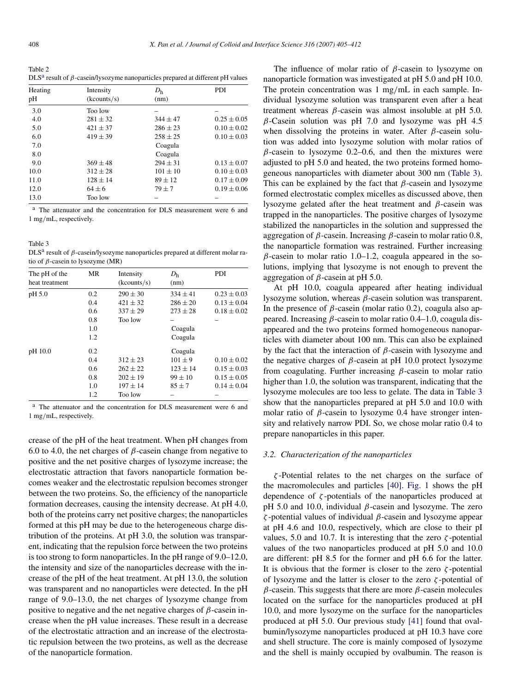<span id="page-3-0"></span>Table 2 DLS<sup>a</sup> result of *β*-casein/lysozyme nanoparticles prepared at different pH values

| Heating<br>pН | Intensity<br>(kcounts/s) | D <sub>h</sub><br>(nm) | <b>PDI</b>      |
|---------------|--------------------------|------------------------|-----------------|
| 3.0           | Too low                  |                        |                 |
| 4.0           | $281 \pm 32$             | $344 \pm 47$           | $0.25 \pm 0.05$ |
| 5.0           | $421 \pm 37$             | $286 + 23$             | $0.10 \pm 0.02$ |
| 6.0           | $419 \pm 39$             | $258 \pm 25$           | $0.10 \pm 0.03$ |
| 7.0           |                          | Coagula                |                 |
| 8.0           |                          | Coagula                |                 |
| 9.0           | $369 \pm 48$             | $294 \pm 31$           | $0.13 \pm 0.07$ |
| 10.0          | $312 \pm 28$             | $101 \pm 10$           | $0.10 \pm 0.03$ |
| 11.0          | $128 \pm 14$             | $89 \pm 12$            | $0.17 \pm 0.09$ |
| 12.0          | $64 \pm 6$               | $79 + 7$               | $0.19 \pm 0.06$ |
| 13.0          | Too low                  |                        |                 |

<sup>a</sup> The attenuator and the concentration for DLS measurement were 6 and 1 mg*/*mL, respectively.

Table 3 DLS<sup>a</sup> result of *β*-casein/lysozyme nanoparticles prepared at different molar ratio of *β*-casein to lysozyme (MR)

| The pH of the  | MR            | Intensity    | D <sub>h</sub> | <b>PDI</b>      |
|----------------|---------------|--------------|----------------|-----------------|
| heat treatment |               | (kcounts/s)  | (nm)           |                 |
| pH 5.0         | 0.2           | $290 \pm 30$ | $334 \pm 41$   | $0.23 \pm 0.03$ |
|                | 0.4           | $421 \pm 32$ | $286 \pm 20$   | $0.13 \pm 0.04$ |
|                | 0.6           | $337 \pm 29$ | $273 \pm 28$   | $0.18 \pm 0.02$ |
|                | 0.8           | Too low      |                |                 |
|                | 1.0           |              | Coagula        |                 |
|                | 1.2           |              | Coagula        |                 |
| pH 10.0        | 0.2           |              | Coagula        |                 |
|                | 0.4           | $312 + 23$   | $101 + 9$      | $0.10 \pm 0.02$ |
|                | $0.6^{\circ}$ | $262 + 22$   | $123 \pm 14$   | $0.15 \pm 0.03$ |
|                | 0.8           | $202 \pm 19$ | $99 + 10$      | $0.15 \pm 0.05$ |
|                | 1.0           | $197 \pm 14$ | $85 \pm 7$     | $0.14 \pm 0.04$ |
|                | 1.2           | Too low      |                |                 |

<sup>a</sup> The attenuator and the concentration for DLS measurement were 6 and 1 mg*/*mL, respectively.

crease of the pH of the heat treatment. When pH changes from 6.0 to 4.0, the net charges of  $\beta$ -casein change from negative to positive and the net positive charges of lysozyme increase; the electrostatic attraction that favors nanoparticle formation becomes weaker and the electrostatic repulsion becomes stronger between the two proteins. So, the efficiency of the nanoparticle formation decreases, causing the intensity decrease. At pH 4.0, both of the proteins carry net positive charges; the nanoparticles formed at this pH may be due to the heterogeneous charge distribution of the proteins. At pH 3.0, the solution was transparent, indicating that the repulsion force between the two proteins is too strong to form nanoparticles. In the pH range of 9.0–12.0, the intensity and size of the nanoparticles decrease with the increase of the pH of the heat treatment. At pH 13.0, the solution was transparent and no nanoparticles were detected. In the pH range of 9.0–13.0, the net charges of lysozyme change from positive to negative and the net negative charges of *β*-casein increase when the pH value increases. These result in a decrease of the electrostatic attraction and an increase of the electrostatic repulsion between the two proteins, as well as the decrease of the nanoparticle formation.

The influence of molar ratio of *β*-casein to lysozyme on nanoparticle formation was investigated at pH 5.0 and pH 10.0. The protein concentration was 1 mg*/*mL in each sample. Individual lysozyme solution was transparent even after a heat treatment whereas *β*-casein was almost insoluble at pH 5.0. *β*-Casein solution was pH 7.0 and lysozyme was pH 4.5 when dissolving the proteins in water. After *β*-casein solution was added into lysozyme solution with molar ratios of  $\beta$ -casein to lysozyme 0.2–0.6, and then the mixtures were adjusted to pH 5.0 and heated, the two proteins formed homogeneous nanoparticles with diameter about 300 nm (Table 3). This can be explained by the fact that *β*-casein and lysozyme formed electrostatic complex micelles as discussed above, then lysozyme gelated after the heat treatment and *β*-casein was trapped in the nanoparticles. The positive charges of lysozyme stabilized the nanoparticles in the solution and suppressed the aggregation of *β*-casein. Increasing *β*-casein to molar ratio 0.8, the nanoparticle formation was restrained. Further increasing *β*-casein to molar ratio 1.0–1.2, coagula appeared in the solutions, implying that lysozyme is not enough to prevent the aggregation of *β*-casein at pH 5.0.

At pH 10.0, coagula appeared after heating individual lysozyme solution, whereas *β*-casein solution was transparent. In the presence of *β*-casein (molar ratio 0.2), coagula also appeared. Increasing *β*-casein to molar ratio 0.4–1.0, coagula disappeared and the two proteins formed homogeneous nanoparticles with diameter about 100 nm. This can also be explained by the fact that the interaction of *β*-casein with lysozyme and the negative charges of *β*-casein at pH 10.0 protect lysozyme from coagulating. Further increasing *β*-casein to molar ratio higher than 1.0, the solution was transparent, indicating that the lysozyme molecules are too less to gelate. The data in Table 3 show that the nanoparticles prepared at pH 5.0 and 10.0 with molar ratio of *β*-casein to lysozyme 0.4 have stronger intensity and relatively narrow PDI. So, we chose molar ratio 0.4 to prepare nanoparticles in this paper.

# *3.2. Characterization of the nanoparticles*

*ζ* -Potential relates to the net charges on the surface of the macromolecules and particles [\[40\].](#page-7-0) [Fig. 1](#page-4-0) shows the pH dependence of *ζ* -potentials of the nanoparticles produced at pH 5.0 and 10.0, individual *β*-casein and lysozyme. The zero *ζ* -potential values of individual *β*-casein and lysozyme appear at pH 4.6 and 10.0, respectively, which are close to their pI values, 5.0 and 10.7. It is interesting that the zero *ζ* -potential values of the two nanoparticles produced at pH 5.0 and 10.0 are different: pH 8.5 for the former and pH 6.6 for the latter. It is obvious that the former is closer to the zero  $\zeta$ -potential of lysozyme and the latter is closer to the zero *ζ* -potential of *β*-casein. This suggests that there are more *β*-casein molecules located on the surface for the nanoparticles produced at pH 10.0, and more lysozyme on the surface for the nanoparticles produced at pH 5.0. Our previous study [\[41\]](#page-7-0) found that ovalbumin/lysozyme nanoparticles produced at pH 10.3 have core and shell structure. The core is mainly composed of lysozyme and the shell is mainly occupied by ovalbumin. The reason is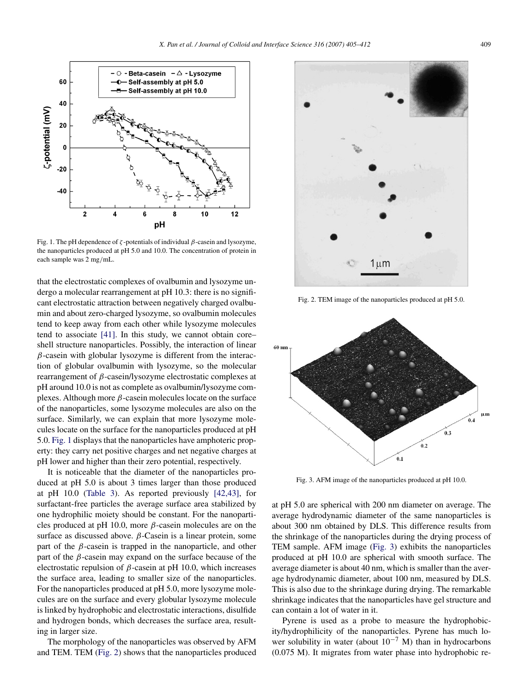<span id="page-4-0"></span>

Fig. 1. The pH dependence of *ζ* -potentials of individual *β*-casein and lysozyme, the nanoparticles produced at pH 5.0 and 10.0. The concentration of protein in each sample was 2 mg*/*mL.

that the electrostatic complexes of ovalbumin and lysozyme undergo a molecular rearrangement at pH 10.3: there is no significant electrostatic attraction between negatively charged ovalbumin and about zero-charged lysozyme, so ovalbumin molecules tend to keep away from each other while lysozyme molecules tend to associate [\[41\].](#page-7-0) In this study, we cannot obtain core– shell structure nanoparticles. Possibly, the interaction of linear *β*-casein with globular lysozyme is different from the interaction of globular ovalbumin with lysozyme, so the molecular rearrangement of *β*-casein/lysozyme electrostatic complexes at pH around 10.0 is not as complete as ovalbumin/lysozyme complexes. Although more *β*-casein molecules locate on the surface of the nanoparticles, some lysozyme molecules are also on the surface. Similarly, we can explain that more lysozyme molecules locate on the surface for the nanoparticles produced at pH 5.0. Fig. 1 displays that the nanoparticles have amphoteric property: they carry net positive charges and net negative charges at pH lower and higher than their zero potential, respectively.

It is noticeable that the diameter of the nanoparticles produced at pH 5.0 is about 3 times larger than those produced at pH 10.0 [\(Table 3\)](#page-3-0). As reported previously [\[42,43\],](#page-7-0) for surfactant-free particles the average surface area stabilized by one hydrophilic moiety should be constant. For the nanoparticles produced at pH 10.0, more *β*-casein molecules are on the surface as discussed above. *β*-Casein is a linear protein, some part of the  $\beta$ -casein is trapped in the nanoparticle, and other part of the *β*-casein may expand on the surface because of the electrostatic repulsion of *β*-casein at pH 10.0, which increases the surface area, leading to smaller size of the nanoparticles. For the nanoparticles produced at pH 5.0, more lysozyme molecules are on the surface and every globular lysozyme molecule is linked by hydrophobic and electrostatic interactions, disulfide and hydrogen bonds, which decreases the surface area, resulting in larger size.

The morphology of the nanoparticles was observed by AFM and TEM. TEM (Fig. 2) shows that the nanoparticles produced



Fig. 2. TEM image of the nanoparticles produced at pH 5.0.



Fig. 3. AFM image of the nanoparticles produced at pH 10.0.

at pH 5.0 are spherical with 200 nm diameter on average. The average hydrodynamic diameter of the same nanoparticles is about 300 nm obtained by DLS. This difference results from the shrinkage of the nanoparticles during the drying process of TEM sample. AFM image (Fig. 3) exhibits the nanoparticles produced at pH 10.0 are spherical with smooth surface. The average diameter is about 40 nm, which is smaller than the average hydrodynamic diameter, about 100 nm, measured by DLS. This is also due to the shrinkage during drying. The remarkable shrinkage indicates that the nanoparticles have gel structure and can contain a lot of water in it.

Pyrene is used as a probe to measure the hydrophobicity/hydrophilicity of the nanoparticles. Pyrene has much lower solubility in water (about  $10^{-7}$  M) than in hydrocarbons (0.075 M). It migrates from water phase into hydrophobic re-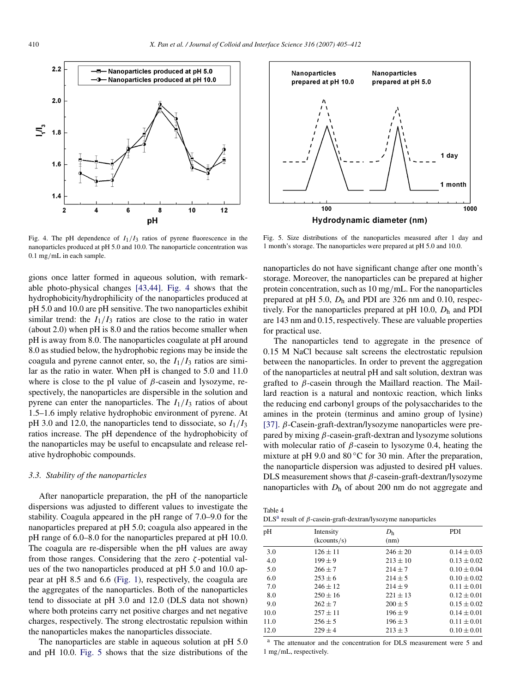<span id="page-5-0"></span>

Fig. 4. The pH dependence of  $I_1/I_3$  ratios of pyrene fluorescence in the nanoparticles produced at pH 5.0 and 10.0. The nanoparticle concentration was 0.1 mg*/*mL in each sample.

gions once latter formed in aqueous solution, with remarkable photo-physical changes [\[43,44\].](#page-7-0) Fig. 4 shows that the hydrophobicity/hydrophilicity of the nanoparticles produced at pH 5.0 and 10.0 are pH sensitive. The two nanoparticles exhibit similar trend: the  $I_1/I_3$  ratios are close to the ratio in water (about 2.0) when pH is 8.0 and the ratios become smaller when pH is away from 8.0. The nanoparticles coagulate at pH around 8.0 as studied below, the hydrophobic regions may be inside the coagula and pyrene cannot enter, so, the  $I_1/I_3$  ratios are similar as the ratio in water. When pH is changed to 5.0 and 11.0 where is close to the pI value of *β*-casein and lysozyme, respectively, the nanoparticles are dispersible in the solution and pyrene can enter the nanoparticles. The  $I_1/I_3$  ratios of about 1.5–1.6 imply relative hydrophobic environment of pyrene. At pH 3.0 and 12.0, the nanoparticles tend to dissociate, so  $I_1/I_3$ ratios increase. The pH dependence of the hydrophobicity of the nanoparticles may be useful to encapsulate and release relative hydrophobic compounds.

# *3.3. Stability of the nanoparticles*

After nanoparticle preparation, the pH of the nanoparticle dispersions was adjusted to different values to investigate the stability. Coagula appeared in the pH range of 7.0–9.0 for the nanoparticles prepared at pH 5.0; coagula also appeared in the pH range of 6.0–8.0 for the nanoparticles prepared at pH 10.0. The coagula are re-dispersible when the pH values are away from those ranges. Considering that the zero *ζ* -potential values of the two nanoparticles produced at pH 5.0 and 10.0 appear at pH 8.5 and 6.6 [\(Fig. 1\)](#page-4-0), respectively, the coagula are the aggregates of the nanoparticles. Both of the nanoparticles tend to dissociate at pH 3.0 and 12.0 (DLS data not shown) where both proteins carry net positive charges and net negative charges, respectively. The strong electrostatic repulsion within the nanoparticles makes the nanoparticles dissociate.

The nanoparticles are stable in aqueous solution at pH 5.0 and pH 10.0. Fig. 5 shows that the size distributions of the



Fig. 5. Size distributions of the nanoparticles measured after 1 day and 1 month's storage. The nanoparticles were prepared at pH 5.0 and 10.0.

nanoparticles do not have significant change after one month's storage. Moreover, the nanoparticles can be prepared at higher protein concentration, such as 10 mg*/*mL. For the nanoparticles prepared at pH 5.0, *D*<sup>h</sup> and PDI are 326 nm and 0.10, respectively. For the nanoparticles prepared at pH 10.0,  $D_h$  and PDI are 143 nm and 0.15, respectively. These are valuable properties for practical use.

The nanoparticles tend to aggregate in the presence of 0.15 M NaCl because salt screens the electrostatic repulsion between the nanoparticles. In order to prevent the aggregation of the nanoparticles at neutral pH and salt solution, dextran was grafted to *β*-casein through the Maillard reaction. The Maillard reaction is a natural and nontoxic reaction, which links the reducing end carbonyl groups of the polysaccharides to the amines in the protein (terminus and amino group of lysine) [\[37\].](#page-7-0) *β*-Casein-graft-dextran/lysozyme nanoparticles were prepared by mixing *β*-casein-graft-dextran and lysozyme solutions with molecular ratio of *β*-casein to lysozyme 0.4, heating the mixture at pH 9.0 and  $80^{\circ}$ C for 30 min. After the preparation, the nanoparticle dispersion was adjusted to desired pH values. DLS measurement shows that *β*-casein-graft-dextran/lysozyme nanoparticles with  $D<sub>h</sub>$  of about 200 nm do not aggregate and

| Table 4 |                                                                        |  |
|---------|------------------------------------------------------------------------|--|
|         | $DLS^a$ result of $\beta$ -casein-graft-dextran/lysozyme nanoparticles |  |

| pН   | Intensity<br>(kcounts/s) | D <sub>h</sub><br>(nm) | PDI             |
|------|--------------------------|------------------------|-----------------|
| 3.0  | $126 \pm 11$             | $246 \pm 20$           | $0.14 \pm 0.03$ |
| 4.0  | $199 \pm 9$              | $213 \pm 10$           | $0.13 \pm 0.02$ |
| 5.0  | $266 \pm 7$              | $214 \pm 7$            | $0.10 \pm 0.04$ |
| 6.0  | $253 + 6$                | $214 + 5$              | $0.10 \pm 0.02$ |
| 7.0  | $246 + 12$               | $214 \pm 9$            | $0.11 \pm 0.01$ |
| 8.0  | $250 \pm 16$             | $221 \pm 13$           | $0.12 \pm 0.01$ |
| 9.0  | $262 + 7$                | $200 \pm 5$            | $0.15 \pm 0.02$ |
| 10.0 | $257 \pm 11$             | $196 \pm 9$            | $0.14 \pm 0.01$ |
| 11.0 | $256 \pm 5$              | $196 \pm 3$            | $0.11 \pm 0.01$ |
| 12.0 | $229 \pm 4$              | $213 \pm 3$            | $0.10 \pm 0.01$ |

<sup>a</sup> The attenuator and the concentration for DLS measurement were 5 and 1 mg*/*mL, respectively.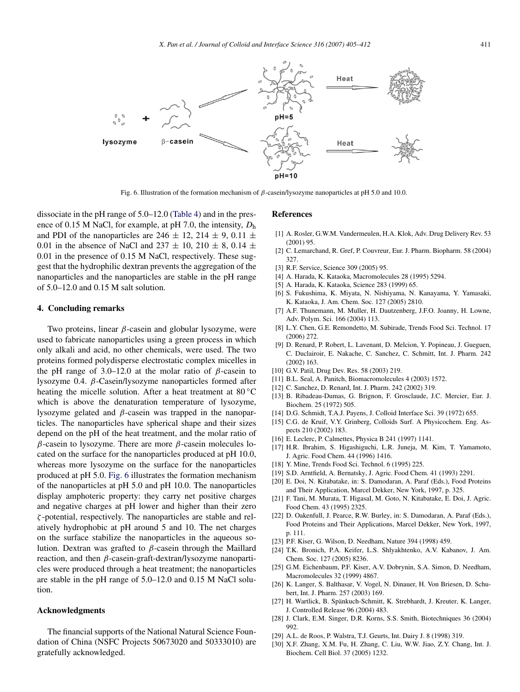<span id="page-6-0"></span>

Fig. 6. Illustration of the formation mechanism of *β*-casein/lysozyme nanoparticles at pH 5.0 and 10.0.

dissociate in the pH range of 5.0–12.0 [\(Table 4\)](#page-5-0) and in the presence of 0.15 M NaCl, for example, at pH 7.0, the intensity, *D*<sup>h</sup> and PDI of the nanoparticles are  $246 \pm 12$ ,  $214 \pm 9$ ,  $0.11 \pm 1.1$ 0.01 in the absence of NaCl and  $237 \pm 10$ ,  $210 \pm 8$ , 0.14  $\pm$ 0.01 in the presence of 0.15 M NaCl, respectively. These suggest that the hydrophilic dextran prevents the aggregation of the nanoparticles and the nanoparticles are stable in the pH range of 5.0–12.0 and 0.15 M salt solution.

## **4. Concluding remarks**

Two proteins, linear *β*-casein and globular lysozyme, were used to fabricate nanoparticles using a green process in which only alkali and acid, no other chemicals, were used. The two proteins formed polydisperse electrostatic complex micelles in the pH range of 3.0–12.0 at the molar ratio of *β*-casein to lysozyme 0.4. *β*-Casein/lysozyme nanoparticles formed after heating the micelle solution. After a heat treatment at 80 °C which is above the denaturation temperature of lysozyme, lysozyme gelated and *β*-casein was trapped in the nanoparticles. The nanoparticles have spherical shape and their sizes depend on the pH of the heat treatment, and the molar ratio of *β*-casein to lysozyme. There are more *β*-casein molecules located on the surface for the nanoparticles produced at pH 10.0, whereas more lysozyme on the surface for the nanoparticles produced at pH 5.0. Fig. 6 illustrates the formation mechanism of the nanoparticles at pH 5.0 and pH 10.0. The nanoparticles display amphoteric property: they carry net positive charges and negative charges at pH lower and higher than their zero *ζ* -potential, respectively. The nanoparticles are stable and relatively hydrophobic at pH around 5 and 10. The net charges on the surface stabilize the nanoparticles in the aqueous solution. Dextran was grafted to *β*-casein through the Maillard reaction, and then *β*-casein-graft-dextran/lysozyme nanoparticles were produced through a heat treatment; the nanoparticles are stable in the pH range of 5.0–12.0 and 0.15 M NaCl solution.

#### **Acknowledgments**

The financial supports of the National Natural Science Foundation of China (NSFC Projects 50673020 and 50333010) are gratefully acknowledged.

## **References**

- [1] A. Rosler, G.W.M. Vandermeulen, H.A. Klok, Adv. Drug Delivery Rev. 53 (2001) 95.
- [2] C. Lemarchand, R. Gref, P. Couvreur, Eur. J. Pharm. Biopharm. 58 (2004) 327.
- [3] R.F. Service, Science 309 (2005) 95.
- [4] A. Harada, K. Kataoka, Macromolecules 28 (1995) 5294.
- [5] A. Harada, K. Kataoka, Science 283 (1999) 65.
- [6] S. Fukushima, K. Miyata, N. Nishiyama, N. Kanayama, Y. Yamasaki, K. Kataoka, J. Am. Chem. Soc. 127 (2005) 2810.
- [7] A.F. Thunemann, M. Muller, H. Dautzenberg, J.F.O. Joanny, H. Lowne, Adv. Polym. Sci. 166 (2004) 113.
- [8] L.Y. Chen, G.E. Remondetto, M. Subirade, Trends Food Sci. Technol. 17 (2006) 272.
- [9] D. Renard, P. Robert, L. Lavenant, D. Melcion, Y. Popineau, J. Gueguen, C. Duclairoir, E. Nakache, C. Sanchez, C. Schmitt, Int. J. Pharm. 242 (2002) 163.
- [10] G.V. Patil, Drug Dev. Res. 58 (2003) 219.
- [11] B.L. Seal, A. Panitch, Biomacromolecules 4 (2003) 1572.
- [12] C. Sanchez, D. Renard, Int. J. Pharm. 242 (2002) 319.
- [13] B. Ribadeau-Dumas, G. Brignon, F. Grosclaude, J.C. Mercier, Eur. J. Biochem. 25 (1972) 505.
- [14] D.G. Schmidt, T.A.J. Payens, J. Colloid Interface Sci. 39 (1972) 655.
- [15] C.G. de Kruif, V.Y. Grinberg, Colloids Surf. A Physicochem. Eng. Aspects 210 (2002) 183.
- [16] E. Leclerc, P. Calmettes, Physica B 241 (1997) 1141.
- [17] H.R. Ibrahim, S. Higashiguchi, L.R. Juneja, M. Kim, T. Yamamoto, J. Agric. Food Chem. 44 (1996) 1416.
- [18] Y. Mine, Trends Food Sci. Technol. 6 (1995) 225.
- [19] S.D. Arntfield, A. Bernatsky, J. Agric. Food Chem. 41 (1993) 2291.
- [20] E. Doi, N. Kitabatake, in: S. Damodaran, A. Paraf (Eds.), Food Proteins and Their Application, Marcel Dekker, New York, 1997, p. 325.
- [21] F. Tani, M. Murata, T. HigasaI, M. Goto, N. Kitabatake, E. Doi, J. Agric. Food Chem. 43 (1995) 2325.
- [22] D. Oakenfull, J. Pearce, R.W. Burley, in: S. Damodaran, A. Paraf (Eds.), Food Proteins and Their Applications, Marcel Dekker, New York, 1997, p. 111.
- [23] P.F. Kiser, G. Wilson, D. Needham, Nature 394 (1998) 459.
- [24] T.K. Bronich, P.A. Keifer, L.S. Shlyakhtenko, A.V. Kabanov, J. Am. Chem. Soc. 127 (2005) 8236.
- [25] G.M. Eichenbaum, P.F. Kiser, A.V. Dobrynin, S.A. Simon, D. Needham, Macromolecules 32 (1999) 4867.
- [26] K. Langer, S. Balthasar, V. Vogel, N. Dinauer, H. Von Briesen, D. Schubert, Int. J. Pharm. 257 (2003) 169.
- [27] H. Wartlick, B. Spänkuch-Schmitt, K. Strebhardt, J. Kreuter, K. Langer, J. Controlled Release 96 (2004) 483.
- [28] J. Clark, E.M. Singer, D.R. Korns, S.S. Smith, Biotechniques 36 (2004) 992.
- [29] A.L. de Roos, P. Walstra, T.J. Geurts, Int. Dairy J. 8 (1998) 319.
- [30] X.F. Zhang, X.M. Fu, H. Zhang, C. Liu, W.W. Jiao, Z.Y. Chang, Int. J. Biochem. Cell Biol. 37 (2005) 1232.